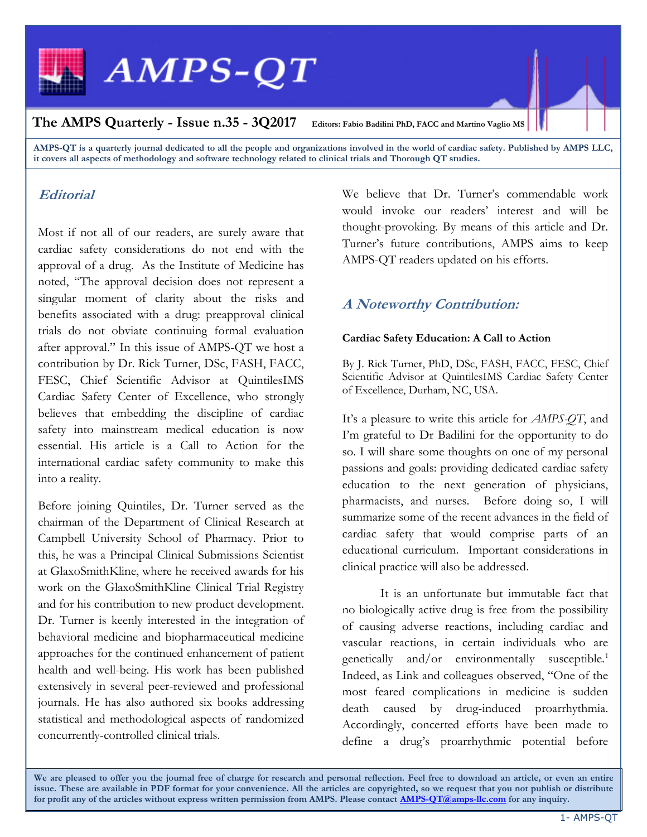

AMPS-QT is a quarterly journal dedicated to all the people and organizations involved in the world of cardiac safety. Published by AMPS LLC, it covers all aspects of methodology and software technology related to clinical trials and Thorough QT studies.

## **Editorial**

Most if not all of our readers, are surely aware that cardiac safety considerations do not end with the approval of a drug. As the Institute of Medicine has noted, "The approval decision does not represent a singular moment of clarity about the risks and benefits associated with a drug: preapproval clinical trials do not obviate continuing formal evaluation after approval." In this issue of AMPS-QT we host a contribution by Dr. Rick Turner, DSc, FASH, FACC, FESC, Chief Scientific Advisor at QuintilesIMS Cardiac Safety Center of Excellence, who strongly believes that embedding the discipline of cardiac safety into mainstream medical education is now essential. His article is a Call to Action for the international cardiac safety community to make this into a reality.

Before joining Quintiles, Dr. Turner served as the chairman of the Department of Clinical Research at Campbell University School of Pharmacy. Prior to this, he was a Principal Clinical Submissions Scientist at GlaxoSmithKline, where he received awards for his work on the GlaxoSmithKline Clinical Trial Registry and for his contribution to new product development. Dr. Turner is keenly interested in the integration of behavioral medicine and biopharmaceutical medicine approaches for the continued enhancement of patient health and well-being. His work has been published extensively in several peer-reviewed and professional journals. He has also authored six books addressing statistical and methodological aspects of randomized concurrently-controlled clinical trials.

We believe that Dr. Turner's commendable work would invoke our readers' interest and will be thought-provoking. By means of this article and Dr. Turner's future contributions, AMPS aims to keep AMPS-QT readers updated on his efforts.

## A Noteworthy Contribution:

### Cardiac Safety Education: A Call to Action

By J. Rick Turner, PhD, DSc, FASH, FACC, FESC, Chief Scientific Advisor at QuintilesIMS Cardiac Safety Center of Excellence, Durham, NC, USA.

It's a pleasure to write this article for AMPS-QT, and I'm grateful to Dr Badilini for the opportunity to do so. I will share some thoughts on one of my personal passions and goals: providing dedicated cardiac safety education to the next generation of physicians, pharmacists, and nurses. Before doing so, I will summarize some of the recent advances in the field of cardiac safety that would comprise parts of an educational curriculum. Important considerations in clinical practice will also be addressed.

It is an unfortunate but immutable fact that no biologically active drug is free from the possibility of causing adverse reactions, including cardiac and vascular reactions, in certain individuals who are genetically and/or environmentally susceptible.<sup>1</sup> Indeed, as Link and colleagues observed, "One of the most feared complications in medicine is sudden death caused by drug-induced proarrhythmia. Accordingly, concerted efforts have been made to define a drug's proarrhythmic potential before

We are pleased to offer you the journal free of charge for research and personal reflection. Feel free to download an article, or even an entire issue. These are available in PDF format for your convenience. All the articles are copyrighted, so we request that you not publish or distribute for profit any of the articles without express written permission from AMPS. Please contact **AMPS-QT@amps-llc.com** for any inquiry.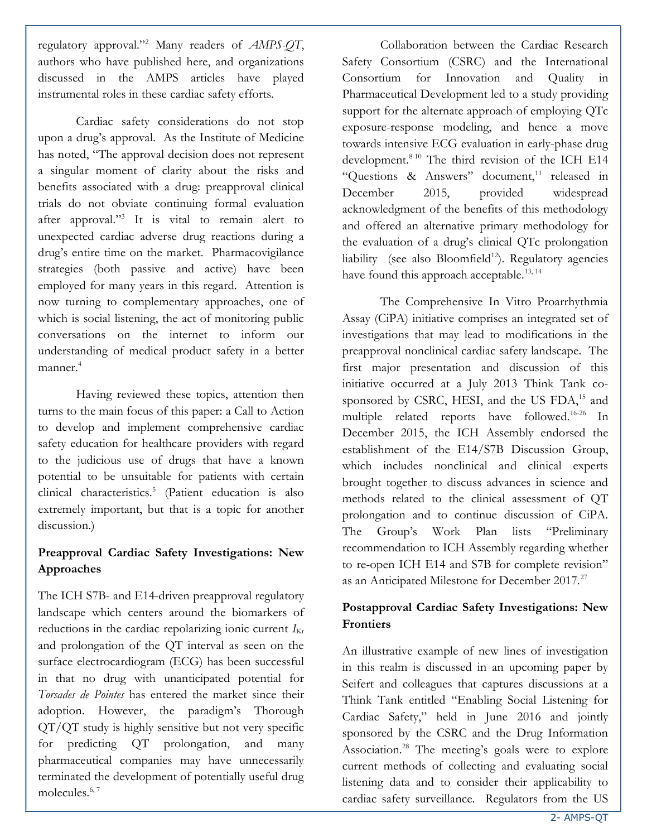regulatory approval."<sup>2</sup> Many readers of  $AMPS-QT$ , authors who have published here, and organizations discussed in the AMPS articles have played instrumental roles in these cardiac safety efforts.

Cardiac safety considerations do not stop upon a drug's approval. As the Institute of Medicine has noted, "The approval decision does not represent a singular moment of clarity about the risks and benefits associated with a drug: preapproval clinical trials do not obviate continuing formal evaluation after approval."<sup>3</sup> It is vital to remain alert to unexpected cardiac adverse drug reactions during a drug's entire time on the market. Pharmacovigilance strategies (both passive and active) have been employed for many years in this regard. Attention is now turning to complementary approaches, one of which is social listening, the act of monitoring public conversations on the internet to inform our understanding of medical product safety in a better  $m$ anner $4$ 

Having reviewed these topics, attention then turns to the main focus of this paper: a Call to Action to develop and implement comprehensive cardiac safety education for healthcare providers with regard to the judicious use of drugs that have a known potential to be unsuitable for patients with certain clinical characteristics.<sup>5</sup> (Patient education is also extremely important, but that is a topic for another discussion.)

## Preapproval Cardiac Safety Investigations: New Approaches

The ICH S7B- and E14-driven preapproval regulatory landscape which centers around the biomarkers of reductions in the cardiac repolarizing ionic current  $I_{\text{Kr}}$ and prolongation of the QT interval as seen on the surface electrocardiogram (ECG) has been successful in that no drug with unanticipated potential for Torsades de Pointes has entered the market since their adoption. However, the paradigm's Thorough QT/QT study is highly sensitive but not very specific for predicting QT prolongation, and many pharmaceutical companies may have unnecessarily terminated the development of potentially useful drug molecules.<sup>6, 7</sup>

Collaboration between the Cardiac Research Safety Consortium (CSRC) and the International Consortium for Innovation and Quality in Pharmaceutical Development led to a study providing support for the alternate approach of employing QTc exposure-response modeling, and hence a move towards intensive ECG evaluation in early-phase drug development.<sup>8-10</sup> The third revision of the ICH E14 "Questions & Answers" document, $11$  released in December 2015, provided widespread acknowledgment of the benefits of this methodology and offered an alternative primary methodology for the evaluation of a drug's clinical QTc prolongation liability (see also Bloomfield<sup>12</sup>). Regulatory agencies have found this approach acceptable.<sup>13, 14</sup>

 The Comprehensive In Vitro Proarrhythmia Assay (CiPA) initiative comprises an integrated set of investigations that may lead to modifications in the preapproval nonclinical cardiac safety landscape. The first major presentation and discussion of this initiative occurred at a July 2013 Think Tank cosponsored by CSRC, HESI, and the US FDA,<sup>15</sup> and multiple related reports have followed.16-26 In December 2015, the ICH Assembly endorsed the establishment of the E14/S7B Discussion Group, which includes nonclinical and clinical experts brought together to discuss advances in science and methods related to the clinical assessment of QT prolongation and to continue discussion of CiPA. The Group's Work Plan lists "Preliminary recommendation to ICH Assembly regarding whether to re-open ICH E14 and S7B for complete revision" as an Anticipated Milestone for December 2017.<sup>27</sup>

## Postapproval Cardiac Safety Investigations: New Frontiers

An illustrative example of new lines of investigation in this realm is discussed in an upcoming paper by Seifert and colleagues that captures discussions at a Think Tank entitled "Enabling Social Listening for Cardiac Safety," held in June 2016 and jointly sponsored by the CSRC and the Drug Information Association.<sup>28</sup> The meeting's goals were to explore current methods of collecting and evaluating social listening data and to consider their applicability to cardiac safety surveillance. Regulators from the US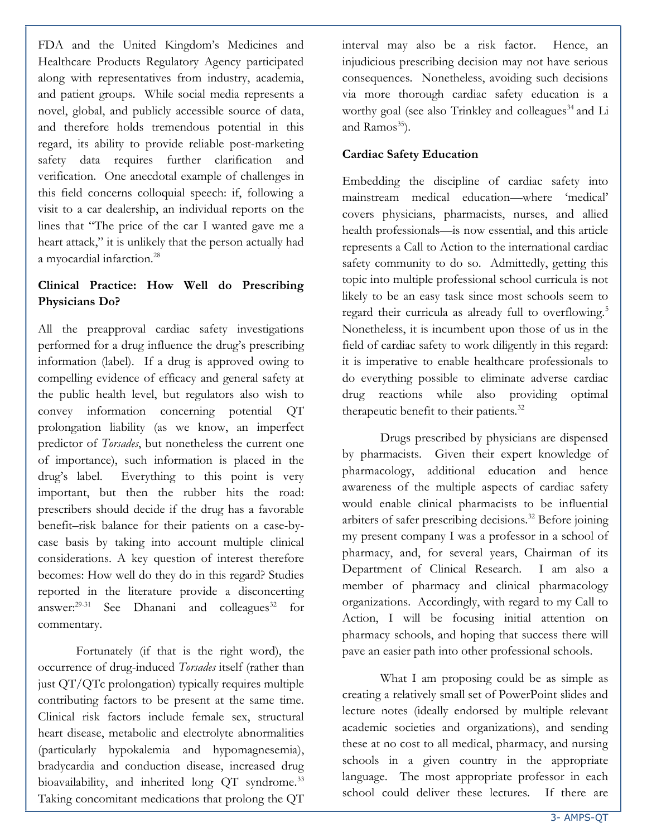FDA and the United Kingdom's Medicines and Healthcare Products Regulatory Agency participated along with representatives from industry, academia, and patient groups. While social media represents a novel, global, and publicly accessible source of data, and therefore holds tremendous potential in this regard, its ability to provide reliable post-marketing safety data requires further clarification and verification. One anecdotal example of challenges in this field concerns colloquial speech: if, following a visit to a car dealership, an individual reports on the lines that "The price of the car I wanted gave me a heart attack," it is unlikely that the person actually had a myocardial infarction.<sup>28</sup>

## Clinical Practice: How Well do Prescribing Physicians Do?

All the preapproval cardiac safety investigations performed for a drug influence the drug's prescribing information (label). If a drug is approved owing to compelling evidence of efficacy and general safety at the public health level, but regulators also wish to convey information concerning potential QT prolongation liability (as we know, an imperfect predictor of Torsades, but nonetheless the current one of importance), such information is placed in the drug's label. Everything to this point is very important, but then the rubber hits the road: prescribers should decide if the drug has a favorable benefit–risk balance for their patients on a case-bycase basis by taking into account multiple clinical considerations. A key question of interest therefore becomes: How well do they do in this regard? Studies reported in the literature provide a disconcerting answer: $29-31$  See Dhanani and colleagues<sup>32</sup> for commentary.

Fortunately (if that is the right word), the occurrence of drug-induced Torsades itself (rather than just QT/QTc prolongation) typically requires multiple contributing factors to be present at the same time. Clinical risk factors include female sex, structural heart disease, metabolic and electrolyte abnormalities (particularly hypokalemia and hypomagnesemia), bradycardia and conduction disease, increased drug bioavailability, and inherited long QT syndrome.<sup>33</sup> Taking concomitant medications that prolong the QT

interval may also be a risk factor. Hence, an injudicious prescribing decision may not have serious consequences. Nonetheless, avoiding such decisions via more thorough cardiac safety education is a worthy goal (see also Trinkley and colleagues<sup>34</sup> and Li and Ramos $35$ ).

## Cardiac Safety Education

Embedding the discipline of cardiac safety into mainstream medical education—where 'medical' covers physicians, pharmacists, nurses, and allied health professionals—is now essential, and this article represents a Call to Action to the international cardiac safety community to do so. Admittedly, getting this topic into multiple professional school curricula is not likely to be an easy task since most schools seem to regard their curricula as already full to overflowing.<sup>5</sup> Nonetheless, it is incumbent upon those of us in the field of cardiac safety to work diligently in this regard: it is imperative to enable healthcare professionals to do everything possible to eliminate adverse cardiac drug reactions while also providing optimal therapeutic benefit to their patients.<sup>32</sup>

Drugs prescribed by physicians are dispensed by pharmacists. Given their expert knowledge of pharmacology, additional education and hence awareness of the multiple aspects of cardiac safety would enable clinical pharmacists to be influential arbiters of safer prescribing decisions.<sup>32</sup> Before joining my present company I was a professor in a school of pharmacy, and, for several years, Chairman of its Department of Clinical Research. I am also a member of pharmacy and clinical pharmacology organizations. Accordingly, with regard to my Call to Action, I will be focusing initial attention on pharmacy schools, and hoping that success there will pave an easier path into other professional schools.

 What I am proposing could be as simple as creating a relatively small set of PowerPoint slides and lecture notes (ideally endorsed by multiple relevant academic societies and organizations), and sending these at no cost to all medical, pharmacy, and nursing schools in a given country in the appropriate language. The most appropriate professor in each school could deliver these lectures. If there are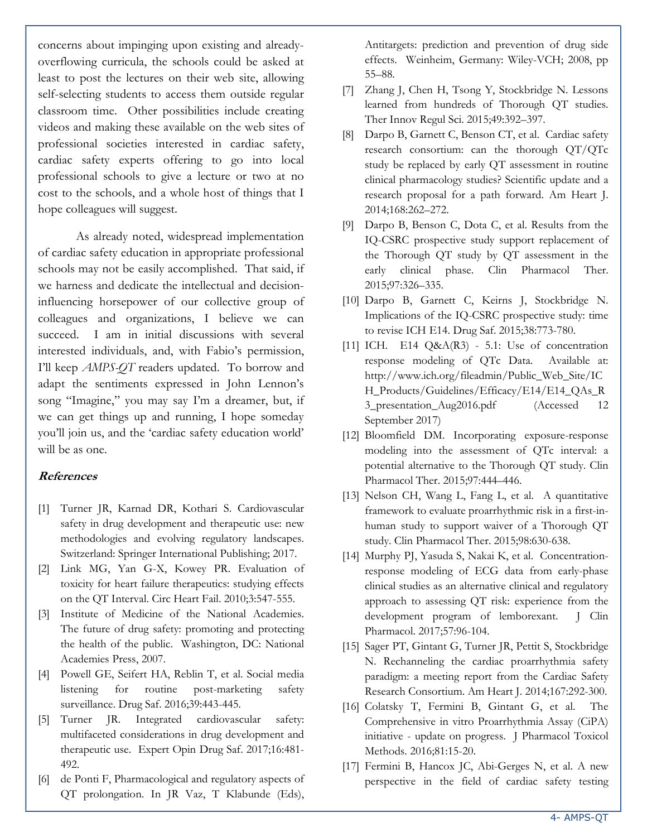concerns about impinging upon existing and alreadyoverflowing curricula, the schools could be asked at least to post the lectures on their web site, allowing self-selecting students to access them outside regular classroom time. Other possibilities include creating videos and making these available on the web sites of professional societies interested in cardiac safety, cardiac safety experts offering to go into local professional schools to give a lecture or two at no cost to the schools, and a whole host of things that I hope colleagues will suggest.

As already noted, widespread implementation of cardiac safety education in appropriate professional schools may not be easily accomplished. That said, if we harness and dedicate the intellectual and decisioninfluencing horsepower of our collective group of colleagues and organizations, I believe we can succeed. I am in initial discussions with several interested individuals, and, with Fabio's permission, I'll keep AMPS-QT readers updated. To borrow and adapt the sentiments expressed in John Lennon's song "Imagine," you may say I'm a dreamer, but, if we can get things up and running, I hope someday you'll join us, and the 'cardiac safety education world' will be as one.

#### References

- [1] Turner JR, Karnad DR, Kothari S. Cardiovascular safety in drug development and therapeutic use: new methodologies and evolving regulatory landscapes. Switzerland: Springer International Publishing; 2017.
- [2] Link MG, Yan G-X, Kowey PR. Evaluation of toxicity for heart failure therapeutics: studying effects on the QT Interval. Circ Heart Fail. 2010;3:547-555.
- [3] Institute of Medicine of the National Academies. The future of drug safety: promoting and protecting the health of the public. Washington, DC: National Academies Press, 2007.
- [4] Powell GE, Seifert HA, Reblin T, et al. Social media listening for routine post-marketing safety surveillance. Drug Saf. 2016;39:443-445.
- [5] Turner JR. Integrated cardiovascular safety: multifaceted considerations in drug development and therapeutic use. Expert Opin Drug Saf. 2017;16:481- 492.
- [6] de Ponti F, Pharmacological and regulatory aspects of QT prolongation. In JR Vaz, T Klabunde (Eds),

Antitargets: prediction and prevention of drug side effects. Weinheim, Germany: Wiley-VCH; 2008, pp 55–88.

- [7] Zhang J, Chen H, Tsong Y, Stockbridge N. Lessons learned from hundreds of Thorough QT studies. Ther Innov Regul Sci. 2015;49:392–397.
- [8] Darpo B, Garnett C, Benson CT, et al. Cardiac safety research consortium: can the thorough QT/QTc study be replaced by early QT assessment in routine clinical pharmacology studies? Scientific update and a research proposal for a path forward. Am Heart J. 2014;168:262–272.
- [9] Darpo B, Benson C, Dota C, et al. Results from the IQ-CSRC prospective study support replacement of the Thorough QT study by QT assessment in the early clinical phase. Clin Pharmacol Ther. 2015;97:326–335.
- [10] Darpo B, Garnett C, Keirns J, Stockbridge N. Implications of the IQ-CSRC prospective study: time to revise ICH E14. Drug Saf. 2015;38:773-780.
- [11] ICH. E14 Q&A(R3) 5.1: Use of concentration response modeling of QTc Data. Available at: http://www.ich.org/fileadmin/Public\_Web\_Site/IC H\_Products/Guidelines/Efficacy/E14/E14\_QAs\_R 3\_presentation\_Aug2016.pdf (Accessed 12 September 2017)
- [12] Bloomfield DM. Incorporating exposure-response modeling into the assessment of QTc interval: a potential alternative to the Thorough QT study. Clin Pharmacol Ther. 2015;97:444–446.
- [13] Nelson CH, Wang L, Fang L, et al. A quantitative framework to evaluate proarrhythmic risk in a first-inhuman study to support waiver of a Thorough QT study. Clin Pharmacol Ther. 2015;98:630-638.
- [14] Murphy PJ, Yasuda S, Nakai K, et al. Concentrationresponse modeling of ECG data from early-phase clinical studies as an alternative clinical and regulatory approach to assessing QT risk: experience from the development program of lemborexant. J Clin Pharmacol. 2017;57:96-104.
- [15] Sager PT, Gintant G, Turner JR, Pettit S, Stockbridge N. Rechanneling the cardiac proarrhythmia safety paradigm: a meeting report from the Cardiac Safety Research Consortium. Am Heart J. 2014;167:292-300.
- [16] Colatsky T, Fermini B, Gintant G, et al. The Comprehensive in vitro Proarrhythmia Assay (CiPA) initiative - update on progress. J Pharmacol Toxicol Methods. 2016;81:15-20.
- [17] Fermini B, Hancox JC, Abi-Gerges N, et al. A new perspective in the field of cardiac safety testing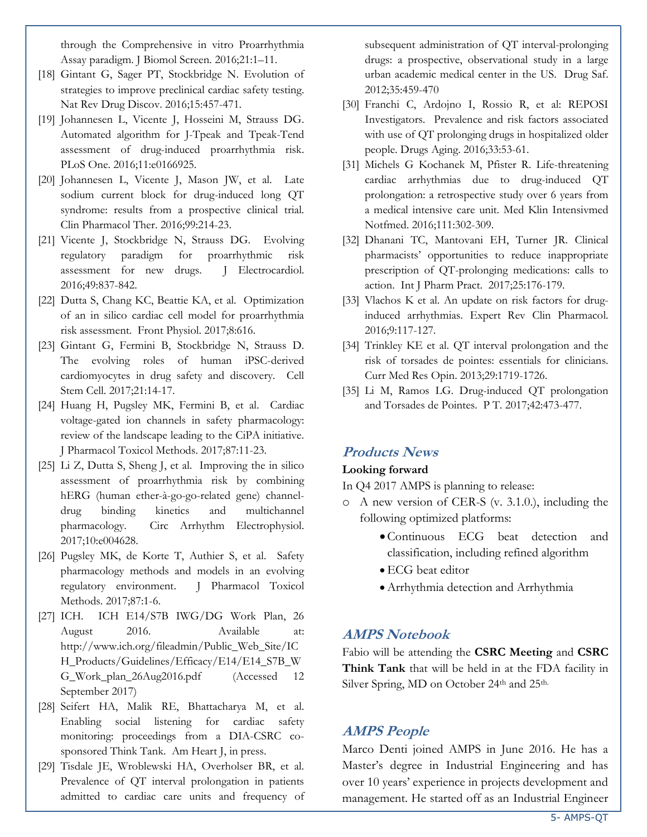through the Comprehensive in vitro Proarrhythmia Assay paradigm. J Biomol Screen. 2016;21:1–11.

- [18] Gintant G, Sager PT, Stockbridge N. Evolution of strategies to improve preclinical cardiac safety testing. Nat Rev Drug Discov. 2016;15:457-471.
- [19] Johannesen L, Vicente J, Hosseini M, Strauss DG. Automated algorithm for J-Tpeak and Tpeak-Tend assessment of drug-induced proarrhythmia risk. PLoS One. 2016;11:e0166925.
- [20] Johannesen L, Vicente J, Mason JW, et al. Late sodium current block for drug-induced long QT syndrome: results from a prospective clinical trial. Clin Pharmacol Ther. 2016;99:214-23.
- [21] Vicente J, Stockbridge N, Strauss DG. Evolving regulatory paradigm for proarrhythmic risk assessment for new drugs. J Electrocardiol. 2016;49:837-842.
- [22] Dutta S, Chang KC, Beattie KA, et al. Optimization of an in silico cardiac cell model for proarrhythmia risk assessment. Front Physiol. 2017;8:616.
- [23] Gintant G, Fermini B, Stockbridge N, Strauss D. The evolving roles of human iPSC-derived cardiomyocytes in drug safety and discovery. Cell Stem Cell. 2017;21:14-17.
- [24] Huang H, Pugsley MK, Fermini B, et al. Cardiac voltage-gated ion channels in safety pharmacology: review of the landscape leading to the CiPA initiative. J Pharmacol Toxicol Methods. 2017;87:11-23.
- [25] Li Z, Dutta S, Sheng J, et al. Improving the in silico assessment of proarrhythmia risk by combining hERG (human ether-à-go-go-related gene) channeldrug binding kinetics and multichannel pharmacology. Circ Arrhythm Electrophysiol. 2017;10:e004628.
- [26] Pugsley MK, de Korte T, Authier S, et al. Safety pharmacology methods and models in an evolving regulatory environment. J Pharmacol Toxicol Methods. 2017;87:1-6.
- [27] ICH. ICH E14/S7B IWG/DG Work Plan, 26 August 2016. Available at: http://www.ich.org/fileadmin/Public\_Web\_Site/IC H\_Products/Guidelines/Efficacy/E14/E14\_S7B\_W G\_Work\_plan\_26Aug2016.pdf (Accessed 12 September 2017)
- [28] Seifert HA, Malik RE, Bhattacharya M, et al. Enabling social listening for cardiac safety monitoring: proceedings from a DIA-CSRC cosponsored Think Tank. Am Heart J, in press.
- [29] Tisdale JE, Wroblewski HA, Overholser BR, et al. Prevalence of QT interval prolongation in patients admitted to cardiac care units and frequency of

subsequent administration of QT interval-prolonging drugs: a prospective, observational study in a large urban academic medical center in the US. Drug Saf. 2012;35:459-470

- [30] Franchi C, Ardojno I, Rossio R, et al: REPOSI Investigators. Prevalence and risk factors associated with use of QT prolonging drugs in hospitalized older people. Drugs Aging. 2016;33:53-61.
- [31] Michels G Kochanek M, Pfister R. Life-threatening cardiac arrhythmias due to drug-induced QT prolongation: a retrospective study over 6 years from a medical intensive care unit. Med Klin Intensivmed Notfmed. 2016;111:302-309.
- [32] Dhanani TC, Mantovani EH, Turner JR. Clinical pharmacists' opportunities to reduce inappropriate prescription of QT-prolonging medications: calls to action. Int J Pharm Pract. 2017;25:176-179.
- [33] Vlachos K et al. An update on risk factors for druginduced arrhythmias. Expert Rev Clin Pharmacol. 2016;9:117-127.
- [34] Trinkley KE et al. QT interval prolongation and the risk of torsades de pointes: essentials for clinicians. Curr Med Res Opin. 2013;29:1719-1726.
- [35] Li M, Ramos LG. Drug-induced QT prolongation and Torsades de Pointes. P T. 2017;42:473-477.

## Products News

#### Looking forward

In Q4 2017 AMPS is planning to release:

- o A new version of CER-S (v. 3.1.0.), including the following optimized platforms:
	- Continuous ECG beat detection and classification, including refined algorithm
	- ECG beat editor
	- Arrhythmia detection and Arrhythmia

## AMPS Notebook

Fabio will be attending the CSRC Meeting and CSRC Think Tank that will be held in at the FDA facility in Silver Spring, MD on October 24<sup>th</sup> and 25<sup>th.</sup>

## AMPS People

Marco Denti joined AMPS in June 2016. He has a Master's degree in Industrial Engineering and has over 10 years' experience in projects development and management. He started off as an Industrial Engineer